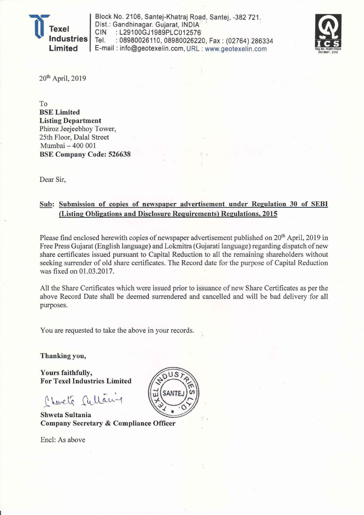

Block No. 2106, Santej-Khatraj Road, Santej. -382721 . Dist.: Gandhinagar. Gujarat, INDIA CIN : L29100GJ1989PLC012576<br>Tel. : 08980026110.08980026220 : 08980026110, 08980026220, Fax: (02764) 286334 E-mail: info@geotexelin.com, URL : www.geotexelin.com



20<sup>th</sup> April, 2019

To BSE Limited Listing Department Phiroz Jeejeebhoy Tower, 25th Floor, Dalal Street Mumbai - 400 001 BSE Company Code: 526638

Dear Sir,

## Sub: Submission of copies of newspaper advertisement under Regulation 30 of SEBI (Listing Obligations and Disclosure Requirements) Regulations, 2015

Please find enclosed herewith copies of newspaper advertisement published on 20<sup>th</sup> April, 2019 in Free Press Gujarat (English language) and Lokmitra (Gujarati language) regarding dispatch of new share certificates issued pursuant to Capital Reduction to all the remaining shareholders without seeking surrender of old share certificates. The Record date for the purpose of Capital Reduction was fixed on 01.03.2017.

All the Share Certificates which were issued prior to issuance of new Share Certificates as per the above Record Date shall be deemed surrendered and 'cancelled and will be bad delivery for all purposes.

You are requested to take the above in your records.

Thanking you,

Yours faithfully, For Texel Industries Limited

Charle Sullawy

Shweta Sultania Company Secretary & Compliance Officer

Encl: As above

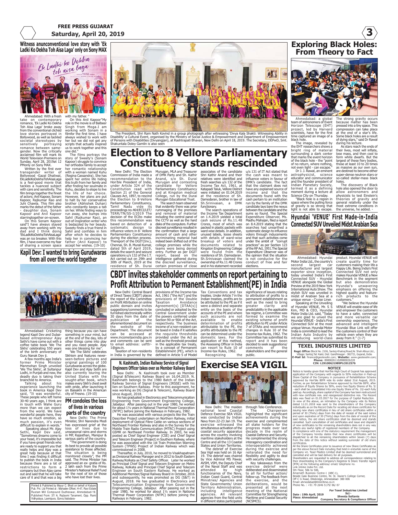### **FREE PRESS GUJARAT Saturday, April 20, 2019**

story of Sweety's (Sonam Kapoor) struggle to convince her orthodox family to accept her romantic relationship with a woman named Kuhu (Regina Cassandra). She has spent her entire life hiding this truth from her family and after finding her soulmate in Kuhu, decides to elope to live the life of her choice. However, her plans are put to halt by her conservative brother (Abhishek Duhan)

who constantly keeps a tab<br>on her. While finding ways to<br>run away, she bumps into<br>Sahil (Rajkumar Rao), an<br>out-of-inspiration write who<br>is bedazzled by her beauty.<br>Sweety finds a true friend in<br>Sahil and confides in him<br>af

help her in convincing her father (Anil Kapoor) to accept her wishes. (19-10)

**Witness anunconventional love story with 'Ek Ladki Ko Dekha Toh Aisa Laga' only on Sony MAX**



Ahmedabad: With a fresh<br>take on contemporary<br>romance, 'Ek Ladki Ko Dekha<br>Toh Aisa Laga' broke away<br>from the conventional cliched<br>towe stories portrayed in<br>Bollywood, as well as tackled<br>societal stereotypes by<br>sensitively p gender. Now the critically acclaimed film will mark its World Television Premiere on Sunday, April 28, 2019at 12 PMonly on Sony MAX. Written by the first ever

transgender writer of Bollywood -Gazal Dhaliwal, EkLadkiKoDekhaTohAisaLaga is a feel-good movie that tackles a nuanced subject with care and sensitivity. The film brings together the finest of actors; Anil Kapoor, Sonam Kapoor, Rajkumar Rao and Juhi Chawla. This film also marks the debut of the father - daughter duo, Sonam<br>Kapoor and Anil Kapoor

Kapoor and Anil Kapoor starringtogether on-screen. On this Sonam Kapoor said"I have always stayed away from working with my dad and I think doing 'EkLadkiKoDekhaTohAisaLaga' was an ice breaker. With this film, I have overcome my fear of sharing a screen space

Ahmedabad: Cricketing legend Kapil Dev and Dubai-based entrepreneur Ajay Sethi's have come out with a coffee table book 'We The Sikhs' celebrating 550 years of the birth anniversary of

wonderful people here, they have so much emotion, so much passion, it's even<br>difficult to explain in words."

Guru Nanak Dev ji. A few months ago India's<br>rmer Prime Minister former Prime Minister Manmohan Singh unveiled 'We The Sikhs', at Sultanpur Lodhi, in Punjab and now, the deadly duo is taking their brainchild to America.

**Kapil Dev: I wanted to bring Gurudwaras from all over the world together**



The President, Shri Ram Nath Kovind in a group photograph after witnessing 'Divya Kala Shakti: Witnessing Ability in<br>Disability' a Cultural Event, organised by the Ministry of Social Justice & Empowerment and Department of

**Election to 8 Vellore Parliamentary Constituency stands rescinded** u/s 131 of IT Act stated that

New Delhi: The Election<br>Commission of India made<br>Hon'ble President of India,<br>under Article 324 of the<br>Constitution read with<br>Section 21 of the General<br>Clauses Act, 1897, to rescind the Election to 8-Vellore Parliamentary Constituency, Tamil Nadu vide its proceedings no.464/ECI/LET/ TERR/TN/SS-I/2019 The decision of the ECIto make this recommendation was based on detection of systematic design to influence voters in 8- Vellore Parliamentary Constituency during the election process. Thereport of the DGIT(Inv.), Chennai, Sh. B. Murali Kumar, dated 5th of April 2019, details the search and seizure Murugan, MLA and Treasurer of DMK Party and Sh. Kathir Anand, s/o Sh. Durai Murugan and contesting candidate for Vellore Parliamentary Constituency and at Kingston medical College, run by the Durai Murugan Educational Trust. that evidently there was prior rummaging of the premises and removal of material including the control panel of the CCTV as well as the hard

operations u/s 132 of the I.T. Act carried out on 29th and 30th of March, 2019 at the residence of Sh. Durai disks of the computers. Further discreet surveillance resulted in the confirmation that a large amount of cash and other incriminating material had<br>indeed been shifted out of the indeed been shifted out of the<br>college premises while the<br>entry. Further as per DGIT<br>report, based on the<br>intelligence gathered during<br>intelligence gathered during<br>certain premises of close

associates of the candidate Shri Kathir Anand and their relatives were identified and fresh searches u/s 132 of the Income Tax Act, 1961, at Katapadi Taluk, Vellore District were initiated on 01.04.2019 at the residence of Sh. Damodaran, brother in law of Sh.Srinivasan, a DMK

functionary. The search operations of the Income Tax Department on 1.4.2019 yielded a total cash seizure of Rs.11.48 Crores, most of which was packed in plastic packets with ward wise details. In addition, unused labels, loose sheets with details of ward-wise breakup of voters and documents related to Kingston Engineering College were found from the residence of Sh. Damodaran. Sh.Srinivasan claimed the ownership of Rs.11.48 Crores and in his statement recorded

the cash was meant to influence voters in favour of DMK's candidate. The fact that the claimant does not have any explained source of income and that the documents found with the cash pertain to an institution run by the family of the DMK candidate lays bare the nexus between the candidate and the sums so found. The Special Expenditure Observer, Ms. Madhu Mahajan, filed a report on 8.4.2019 stating that the searches had unearthed a systematic design to influence voters through inducements and that such activities come under the ambit of "corrupt practices" as per Section 123 of the RP Act, 1951.The Special Expenditure Observer was of the opinion that the situation is not conducive for the

elections.

nduct of free and fair significance of issues relating to attribution of profits to a permanent establishment as well as the need to bring greater clarity and predictability in the applicable tax regime, a Committee was formed to examine the existing scheme of profit attribution to PE under Article



**Exploring Black Holes:**

Ahmedabad: a global team of astronomers of Event Horizon Telescope (EHT) project, led by Harvard scientists, have for the first time captured an image of a black hole.

The image, revealed by the EHT researchers shows a bright ring of material surrounding a dark center that marks the event horizon of the black hole - the "point of no return, where nothing, not even light - can escape." Dr J. J. Rawal, an eminent

astrophysicist, science<br>educator and communicator<br>Indian Planetary Society,<br>Indian Planetary Society,<br>termed it as a defining<br>Science City on Thursday.<br>Science City on Thursday.<br>Space where the pulling force<br>space where th

The strong gravity occurs because matter has been pressed into a tiny space. This compression can take place at the end of a star's life. Some black holes are a result of dying stars," said Dr Rawal

**3**

during his lecture. As stars reach the ends of their lives, most will inflate, lose mass, and then cool to form white dwarfs. But the largest of these fiery bodies, those at least 10 to 20 times as massive as our own sun, are destined to become either

super-dense neutron stars or<br>so-called stellar-mass black<br>holes.<br>The discovery of Black<br>hole also opened the door to<br>allow astronomers and<br>physicists to test Einstein's<br>peneral relativity under the<br>meral relativity under t

 $FJ/4$ r.



 Ahmedabad: Hyundai Motor India Ltd., the country's second largest car manufacturer and largest exporter since inception, today unveiled India's First Connected SUV - Hyundai VENUE alongside the Global product. Hyundai VENUE will create quality time for customers making their life a Happy Life. Being India's First Connected SUV not only makes Hyundai VENUE a New Benchmark in the segment<br>but also demonstrates but also demonstrates Hyundai's unwavering emphasis on offering the highest quality and feature-rich products to the customers." "We believe the Hyundai

Preview at the 2019 New York<br>International Auto Show. The<br>stylish SUV was unveiled in<br>midst of Arabian Sea at a<br>unique venue - Cruise Liner.<br>Speaking at the Unveiling<br>of Hyundai VENUE, Mr. S S<br>Motor India Ltd. said, "Today Connected SUV at the most unique Venue. Hyundai Motor India is committed to lead the Indian Auto Industry by introducing world-class VENUE will enable ease of life<br>and empower the customers<br>to have a safer, connected<br>and more versatille can<br>ownership experience. The<br>advanced and intelligent<br>Hyundai Blue Liik will offer<br>the customers control of their<br>way

### **TEXEL INDUSTRIES LIMITED**

Regd. Office: Block No. 2106, Santej-Khatraj Road, Nr. Shah Alloys Ltd.,<br>Village: Santej, Jal: Kalol, Dist: Gandhinagar - 382721, Gujarat, India<br>- F-Mail Id: finance@geotexelin.com; Website: www.geotexelin.com<br>Phone: 89800

CIPI (1990) COMPIDMENT (1990) CONSECTING THE MONOCOLOUS TO A proposed application of the Company in pursuance of Rehabilitation Scheme Application of Four particle and a specifical of the Company in pursuance of Rehabilita

displaced to all the relational symmates of the state of this notice without seeking surrelate of old share<br>the therm the date of this notice without seeking surrelate of old share<br>All the shape certificates prior to issu

For Texel Industries Limited Date: 19th April, 2019<br>Place: Ahmedabad 2019<br>
Shweta Sultania<br>
Company Secretary & Compliance Office

## **CBDT invites stakeholder comments on report pertaining to Profit Attribution to Permanent Establishment(PE) in India** provisions of the Income-tax Act, 1961 ("the Act") and the provisions of the Double Taxation Avoidance Agreement(s) [DTAA(s)] concluded or adopted by the Tax Conventions and tax treaties. Under Article 7 in the

The search team observed

New Delhi: Central Board of Direct Taxes (CBDT) places the report of the Committee<br>on Profit Attribution on online on Profit Attribution on online public domain and invites suggestions/comments to be furnished electronically within 30 days from the date of publication of the aforementioned document on

the website of the Department. The document can be accessed at www.incometaxindia.gov.in and comments can be sent to email address: usfttr-

also currently touring the United States with the

#### Talking about his experience launching the book in America Kapil Dev said, "It was wonderful. These people who left home 30-40 years ago, I think are in touch with Wahe Guru more than we can expect from the world. We have **PM condoles the loss of lives in various**

**parts of the country** New Delhi: The Prin

difficult to explain in words."<br>Speaking about Mr. Ajay<br>"Sometimes dreams come to<br>"Sometimes dreams come to<br>"Sometimes dreams come to<br>if you have great friends who are ready to support you that<br>are ally eleps and Ajay was care of it and that was a big

> Printed & Published by Mayur C. Bhatt on behalf of Kalyani Pub. Pvt. Ltd Printed at : Mahadev Offset, H-47, Ravi Estate Rustam Mill Compound Dudheswar, Ahmedabad-19. Published From: 37/ A, Rajlaxmi Tanament, Opp. Rami Vidhyalaya, Laxmipura, Gorva,Vadodara-

thing because you can have<br>something in your mind, but<br>at the end of the day, lots of<br>other things come into play<br>and you need people. Ajay<br>was one blessing for me".<br>"We The Sikhs" celebrates<br>Sikhism and features never-

Minister, Shri Narendra Modi loss of lives due to unseasonal rains and storms in MP, Rajasthan, Manipur &

seen-before pictures and original paintings of 100 Gurudwaras across the globe. Kapil Dev and Ajay Sethi are

sought-after book, which makes every Sikh's chest swell

has expressed grief at the<br>loss of lives due to various parts of the country.<br>"The government is doing

## with pride, after launching it on Baisakhi in the American city of Fresno. (19-10)

"The government is doing its best to provide all possible assistance to those affected. The situation is being monitored closely", the PM said. The Prime Minister has approved an ex- gratia of Rs. 2 lakh each from the Prime Minister's National Relief Fund for the next of kin of those who have lost their lives.

(Signal &Telecom) Railway Board on 16.04.2019. N.<br>Kashinath belongs to the 1980 Batch of the Indian<br>Railway Service of Signal Engineers (IRSSE) with his<br>lien on Southern Railway. Prior to this assignment, he<br>was working as

He has graduated in Electronics and Telecommunication<br>Engineering from Government Engineering College,<br>Jabalpur. After passing out in the year 1980, he worked<br>for about 1% years in National Thermal Power Corporation<br>(NTPC)

deployment of Optical Fibre Cable on various sections of<br>Northeast Frontier Railway and also in the Survey for the<br>Northeast Frontier Railway and also in the Survey for the<br>Nobile Train Radio Communication (MTRC) Project u

Engineer on South Eastern Railway. He worked as<br>Additional Member/Signal Railway Board in October, 2016<br>and subsequently, he was promoted as DG (S&T) in<br>August, 2018. He has graduated in Electronics and<br>Telecommunication E year 1980, he worked for about 1½ years in National Thermal Power Corporation (NTPC) before joining the Railways in February, 1982. entity on the basis of the accounts of the PE and where such accounts are not available to enable determination of profits attributable to the PE, the profits attributable to the PE can be determined under the domestic laws. For the application of this method, the Assessing Officer in India can resort to Rule 10 of Income-tax Rules, 1962. Recognizing the public.

Indian treaties, profits are to be attributed to the PE as if it were a distinct and separate



New Delhi: The maiden national level Coastal Defence Exercise SEA VIGIL was conducted by Indian Navy from 22-23 Jan 19. The exercise witnessed the simultaneous activation of the coastal security apparatus across the country involving maritime stakeholders at the Centre and all the 13 Coastal

States and Union Territories. The debrief of Exercise Sea Vigil was held on 16 Apr 19. The debrief was chaired<br>by Vice Admiral MS Pawar, by Vice Admiral MS Pawar,<br>AVSM, the Deputy Chief<br>attended aby and was attended aby high<br>functionaries of the Navy,<br>Indian Coast Guard, Central<br>Ministries/ Agencies and<br>State Governments/ Union<br>Territory Administration,<br>age

through Tele-Conference.<br>The Chairpers Chairperson highlighted the significant achievements during the exercise and complimented

all stake holders for the progress made over last decade in the realm of Coastal Defence and Security. He complimented the strong interagency coordination and interoperability achieved during the exercise and reiterated the need for

flexibility and agility to deal<br>with security challenges.<br>Key takeaways from the<br>exercise debrief were<br>deliberated and disseminated

to all for further action/ follow-up. The feedback from the exercise, and the deliberations, would be presented at the next meeting of the National Committee for Strengthening Maritime and Coastal Security (NCSMCS).





Central Government under the powers conferred under Section 90 or 90A of the Act, respectively. The business income of a non-resident can be taxed in India if it satisfies the requisite thresholds provided under the Act as well as the threshold provided